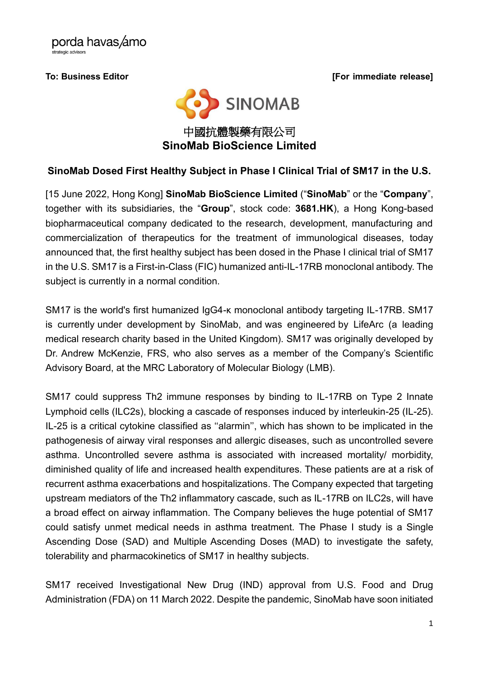porda havas/amo '<br>strategic advisors

**To: Business Editor [For immediate release]**



## **SinoMab Dosed First Healthy Subject in Phase I Clinical Trial of SM17 in the U.S.**

[15 June 2022, Hong Kong] **SinoMab BioScience Limited** ("**SinoMab**" or the "**Company**", together with its subsidiaries, the "**Group**", stock code: **3681.HK**), a Hong Kong-based biopharmaceutical company dedicated to the research, development, manufacturing and commercialization of therapeutics for the treatment of immunological diseases, today announced that, the first healthy subject has been dosed in the Phase I clinical trial of SM17 in the U.S. SM17 is a First-in-Class (FIC) humanized anti-IL-17RB monoclonal antibody. The subject is currently in a normal condition.

SM17 is the world's first humanized IgG4-κ monoclonal antibody targeting IL-17RB. SM17 is currently under development by SinoMab, and was engineered by LifeArc (a leading medical research charity based in the United Kingdom). SM17 was originally developed by Dr. Andrew McKenzie, FRS, who also serves as a member of the Company's Scientific Advisory Board, at the MRC Laboratory of Molecular Biology (LMB).

SM17 could suppress Th2 immune responses by binding to IL-17RB on Type 2 Innate Lymphoid cells (ILC2s), blocking a cascade of responses induced by interleukin-25 (IL-25). IL-25 is a critical cytokine classified as ''alarmin'', which has shown to be implicated in the pathogenesis of airway viral responses and allergic diseases, such as uncontrolled severe asthma. Uncontrolled severe asthma is associated with increased mortality/ morbidity, diminished quality of life and increased health expenditures. These patients are at a risk of recurrent asthma exacerbations and hospitalizations. The Company expected that targeting upstream mediators of the Th2 inflammatory cascade, such as IL-17RB on ILC2s, will have a broad effect on airway inflammation. The Company believes the huge potential of SM17 could satisfy unmet medical needs in asthma treatment. The Phase I study is a Single Ascending Dose (SAD) and Multiple Ascending Doses (MAD) to investigate the safety, tolerability and pharmacokinetics of SM17 in healthy subjects.

SM17 received Investigational New Drug (IND) approval from U.S. Food and Drug Administration (FDA) on 11 March 2022. Despite the pandemic, SinoMab have soon initiated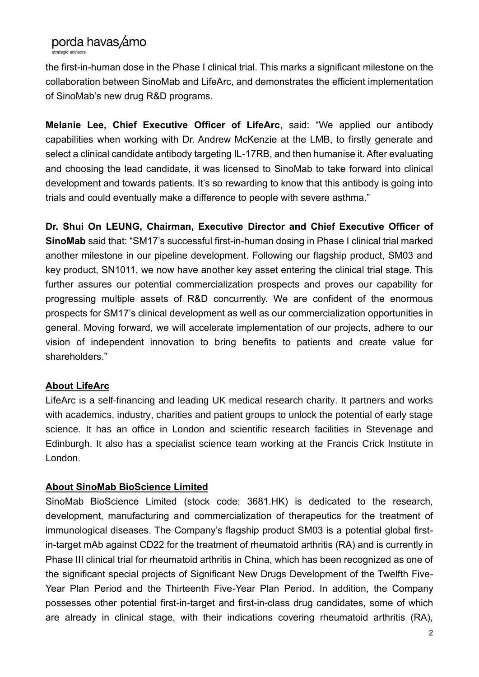# porda havas amo

.<br>strategic advisors

the first-in-human dose in the Phase I clinical trial. This marks a significant milestone on the collaboration between SinoMab and LifeArc, and demonstrates the efficient implementation of SinoMab's new drug R&D programs.

**Melanie Lee, Chief Executive Officer of LifeArc**, said: "We applied our antibody capabilities when working with Dr. Andrew McKenzie at the LMB, to firstly generate and select a clinical candidate antibody targeting IL-17RB, and then humanise it. After evaluating and choosing the lead candidate, it was licensed to SinoMab to take forward into clinical development and towards patients. It's so rewarding to know that this antibody is going into trials and could eventually make a difference to people with severe asthma."

**Dr. Shui On LEUNG, Chairman, Executive Director and Chief Executive Officer of SinoMab** said that: "SM17's successful first-in-human dosing in Phase I clinical trial marked another milestone in our pipeline development. Following our flagship product, SM03 and key product, SN1011, we now have another key asset entering the clinical trial stage. This further assures our potential commercialization prospects and proves our capability for progressing multiple assets of R&D concurrently. We are confident of the enormous prospects for SM17's clinical development as well as our commercialization opportunities in general. Moving forward, we will accelerate implementation of our projects, adhere to our vision of independent innovation to bring benefits to patients and create value for shareholders."

#### **About LifeArc**

LifeArc is a self-financing and leading UK medical research charity. It partners and works with academics, industry, charities and patient groups to unlock the potential of early stage science. It has an office in London and scientific research facilities in Stevenage and Edinburgh. It also has a specialist science team working at the Francis Crick Institute in London.

#### **About SinoMab BioScience Limited**

SinoMab BioScience Limited (stock code: 3681.HK) is dedicated to the research, development, manufacturing and commercialization of therapeutics for the treatment of immunological diseases. The Company's flagship product SM03 is a potential global firstin-target mAb against CD22 for the treatment of rheumatoid arthritis (RA) and is currently in Phase III clinical trial for rheumatoid arthritis in China, which has been recognized as one of the significant special projects of Significant New Drugs Development of the Twelfth Five-Year Plan Period and the Thirteenth Five-Year Plan Period. In addition, the Company possesses other potential first-in-target and first-in-class drug candidates, some of which are already in clinical stage, with their indications covering rheumatoid arthritis (RA),